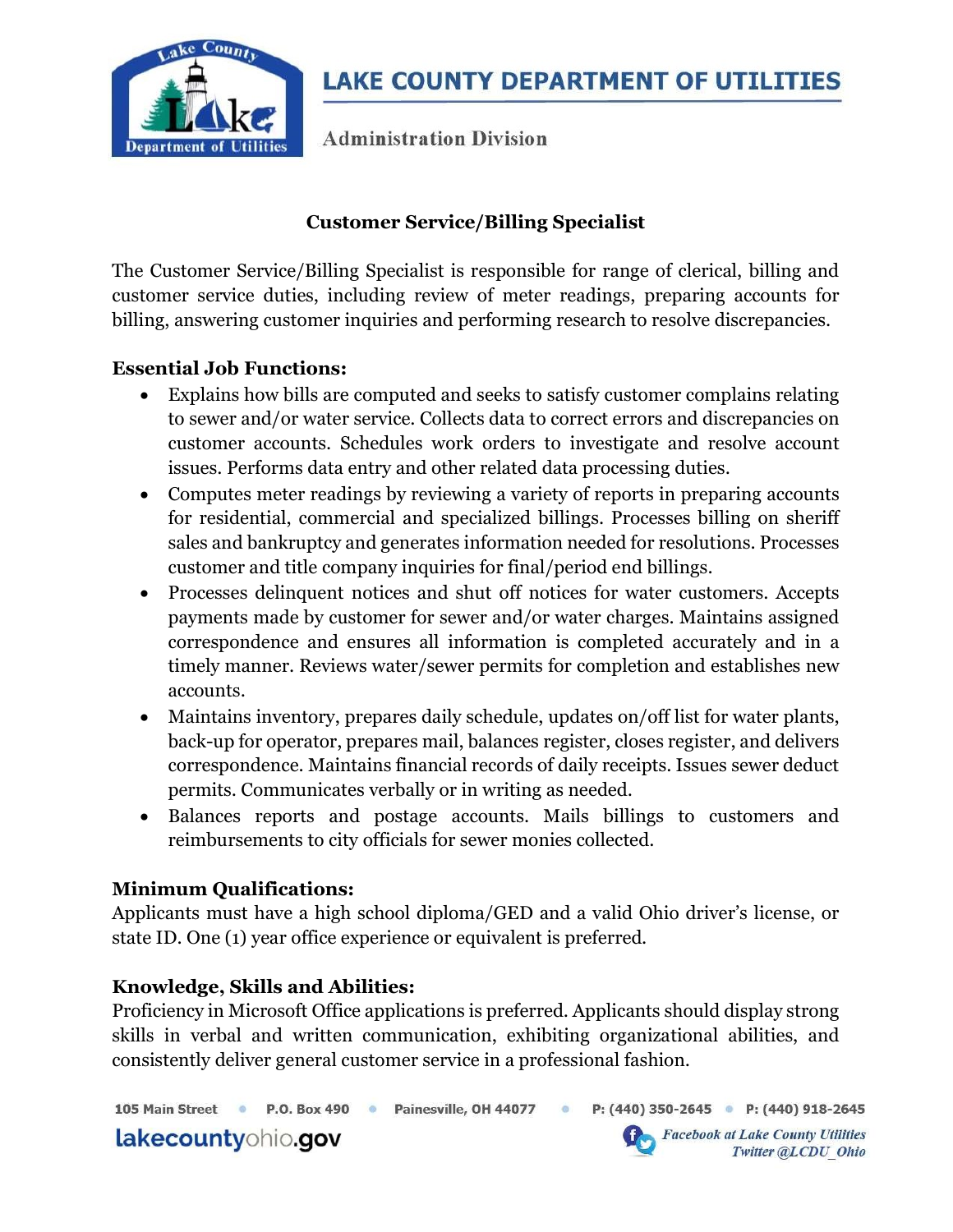

**Administration Division** 

# Customer Service/Billing Specialist

The Customer Service/Billing Specialist is responsible for range of clerical, billing and customer service duties, including review of meter readings, preparing accounts for billing, answering customer inquiries and performing research to resolve discrepancies.

## Essential Job Functions:

- Explains how bills are computed and seeks to satisfy customer complains relating to sewer and/or water service. Collects data to correct errors and discrepancies on customer accounts. Schedules work orders to investigate and resolve account issues. Performs data entry and other related data processing duties.
- Computes meter readings by reviewing a variety of reports in preparing accounts for residential, commercial and specialized billings. Processes billing on sheriff sales and bankruptcy and generates information needed for resolutions. Processes customer and title company inquiries for final/period end billings.
- Processes delinquent notices and shut off notices for water customers. Accepts payments made by customer for sewer and/or water charges. Maintains assigned correspondence and ensures all information is completed accurately and in a timely manner. Reviews water/sewer permits for completion and establishes new accounts.
- Maintains inventory, prepares daily schedule, updates on/off list for water plants, back-up for operator, prepares mail, balances register, closes register, and delivers correspondence. Maintains financial records of daily receipts. Issues sewer deduct permits. Communicates verbally or in writing as needed.
- Balances reports and postage accounts. Mails billings to customers and reimbursements to city officials for sewer monies collected.

#### Minimum Qualifications:

Applicants must have a high school diploma/GED and a valid Ohio driver's license, or state ID. One (1) year office experience or equivalent is preferred.

## Knowledge, Skills and Abilities:

Proficiency in Microsoft Office applications is preferred. Applicants should display strong skills in verbal and written communication, exhibiting organizational abilities, and consistently deliver general customer service in a professional fashion.

P.O. Box 490 · Painesville, OH 44077 P: (440) 350-2645 P: (440) 918-2645 105 Main Street ·  $\ddot{\circ}$ 

lakecountyohio.gov